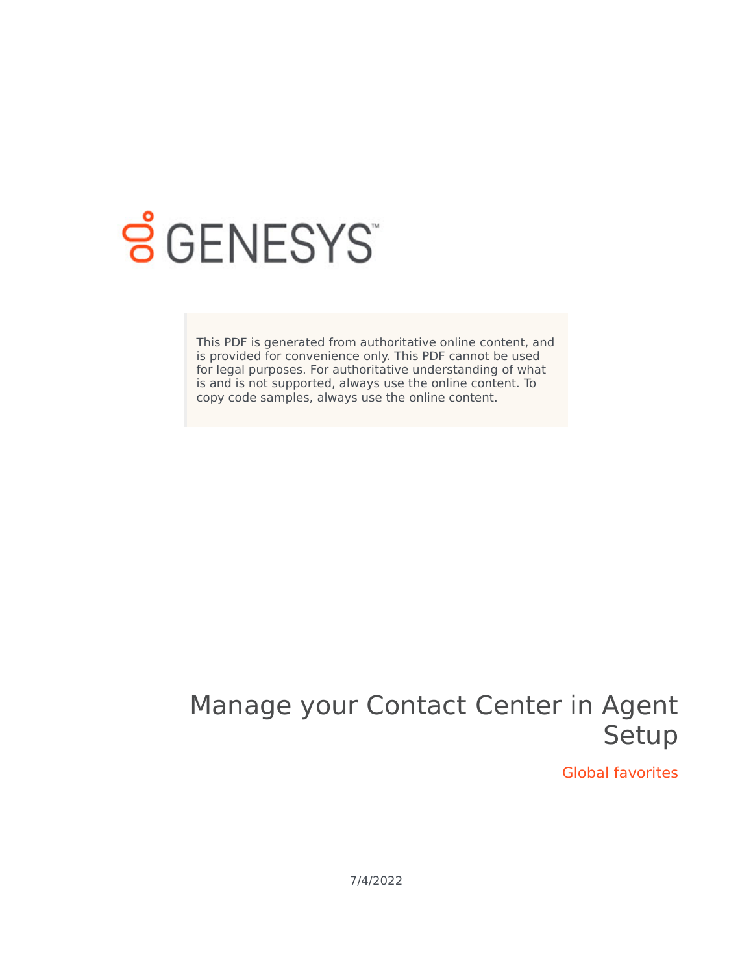

# **SGENESYS**

This PDF is generated from authoritative online content, and is provided for convenience only. This PDF cannot be used for legal purposes. For authoritative understanding of what is and is not supported, always use the online content. To copy code samples, always use the online content.

# Manage your Contact Center in Agent Setup

Global favorites

7/4/2022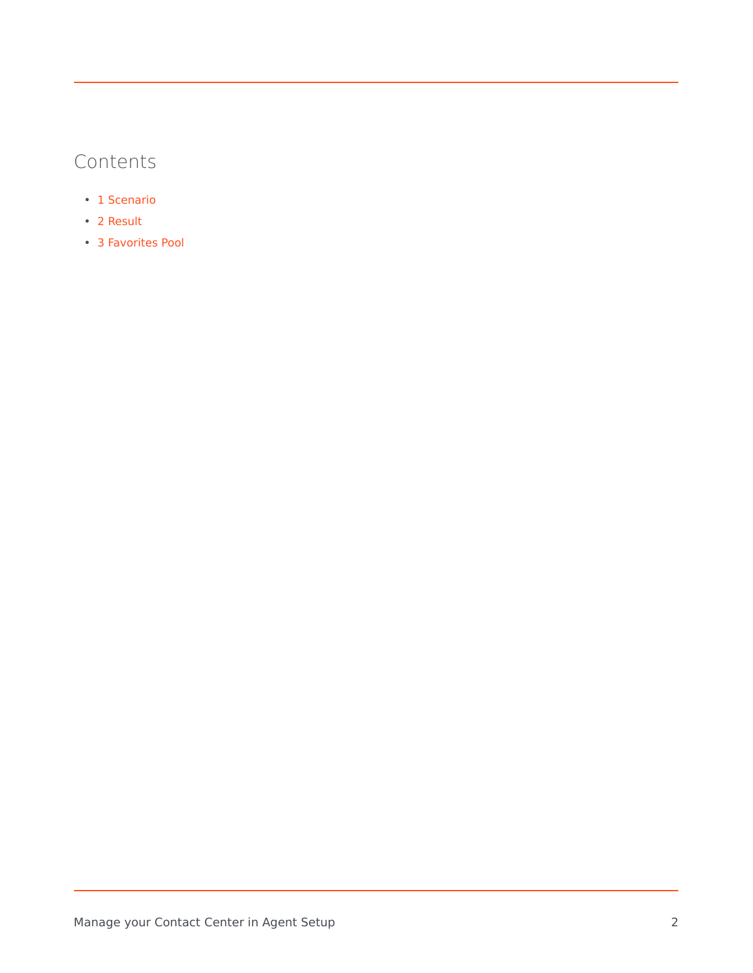# Contents

- 1 [Scenario](#page-2-0)
- 2 [Result](#page-5-0)
- 3 [Favorites Pool](#page-6-0)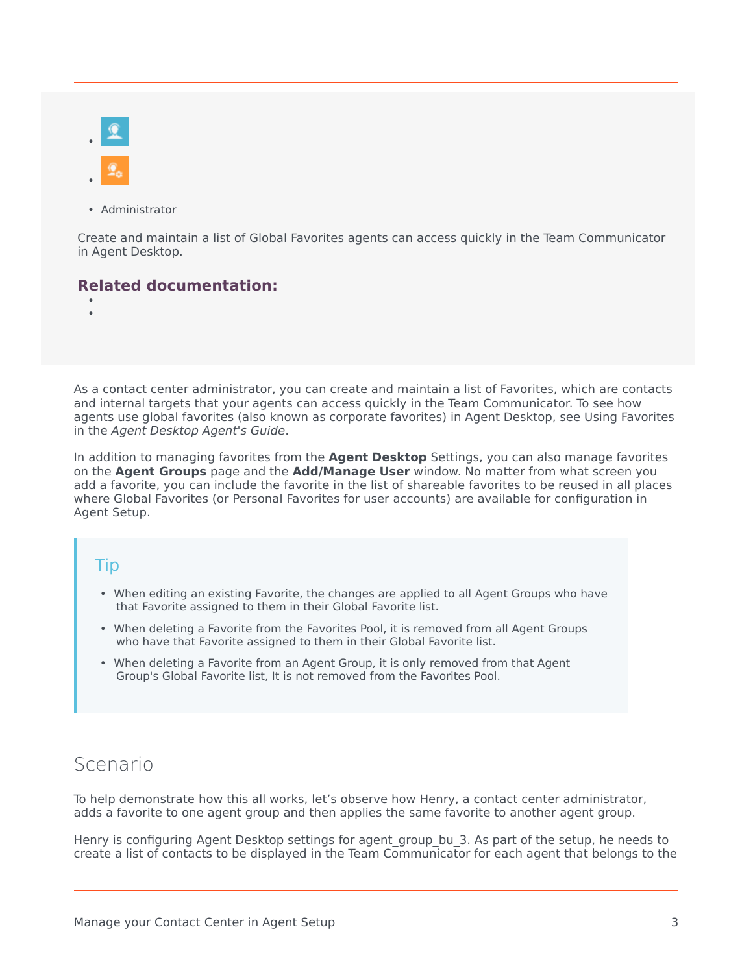• Administrator

Create and maintain a list of Global Favorites agents can access quickly in the Team Communicator in Agent Desktop.

#### **Related documentation:**

• •

As a contact center administrator, you can create and maintain a list of Favorites, which are contacts and internal targets that your agents can access quickly in the Team Communicator. To see how agents use global favorites (also known as corporate favorites) in Agent Desktop, see Using Favorites in the *Agent Desktop Agent's Guide*.

In addition to managing favorites from the **Agent Desktop** Settings, you can also manage favorites on the **Agent Groups** page and the **Add/Manage User** window. No matter from what screen you add a favorite, you can include the favorite in the list of shareable favorites to be reused in all places where Global Favorites (or Personal Favorites for user accounts) are available for configuration in Agent Setup.

#### Tip

- When editing an existing Favorite, the changes are applied to all Agent Groups who have that Favorite assigned to them in their Global Favorite list.
- When deleting a Favorite from the Favorites Pool, it is removed from all Agent Groups who have that Favorite assigned to them in their Global Favorite list.
- When deleting a Favorite from an Agent Group, it is only removed from that Agent Group's Global Favorite list, It is not removed from the Favorites Pool.

## <span id="page-2-0"></span>Scenario

To help demonstrate how this all works, let's observe how Henry, a contact center administrator, adds a favorite to one agent group and then applies the same favorite to another agent group.

Henry is configuring Agent Desktop settings for agent group bu 3. As part of the setup, he needs to create a list of contacts to be displayed in the Team Communicator for each agent that belongs to the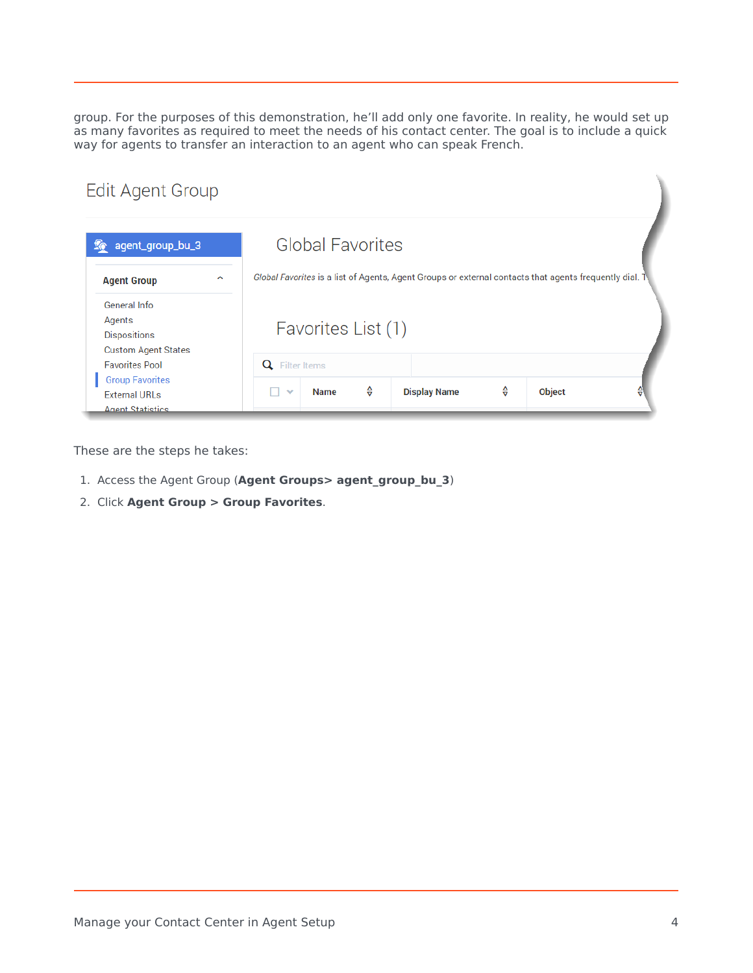group. For the purposes of this demonstration, he'll add only one favorite. In reality, he would set up as many favorites as required to meet the needs of his contact center. The goal is to include a quick way for agents to transfer an interaction to an agent who can speak French.

#### **Edit Agent Group**

| agent_group_bu_3                                                            | <b>Global Favorites</b>                                                                                |
|-----------------------------------------------------------------------------|--------------------------------------------------------------------------------------------------------|
| $\lambda$<br><b>Agent Group</b>                                             | Global Favorites is a list of Agents, Agent Groups or external contacts that agents frequently dial. 1 |
| General Info<br>Agents<br><b>Dispositions</b><br><b>Custom Agent States</b> | Favorites List (1)                                                                                     |
| <b>Favorites Pool</b>                                                       | Filter Items<br>Q                                                                                      |
| <b>Group Favorites</b><br><b>External URLs</b>                              | ⇔<br>⇔<br><b>Display Name</b><br><b>Object</b><br><b>Name</b><br>$\checkmark$<br>a.                    |

These are the steps he takes:

- 1. Access the Agent Group (**Agent Groups> agent\_group\_bu\_3**)
- 2. Click **Agent Group > Group Favorites**.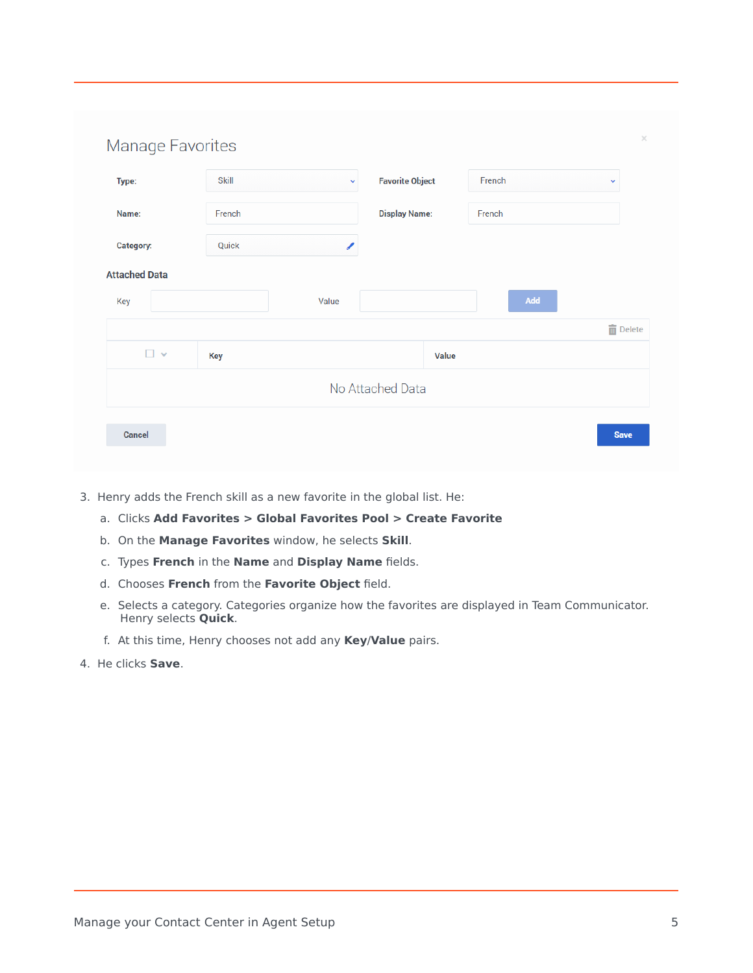| Type:                | <b>Skill</b> | $\checkmark$ | <b>Favorite Object</b> | French                        | v               |
|----------------------|--------------|--------------|------------------------|-------------------------------|-----------------|
| Name:                | French       |              | <b>Display Name:</b>   | French                        |                 |
| Category:            | Quick        | ∕            |                        |                               |                 |
| <b>Attached Data</b> |              |              |                        |                               |                 |
| Key                  |              | Value        |                        | $\operatorname{\mathsf{Add}}$ |                 |
|                      |              |              |                        |                               | <b>面</b> Delete |
| $\square$ $\vee$     | Key          |              | <b>Value</b>           |                               |                 |
|                      |              |              | No Attached Data       |                               |                 |

- 3. Henry adds the French skill as a new favorite in the global list. He:
	- a. Clicks **Add Favorites > Global Favorites Pool > Create Favorite**
	- b. On the **Manage Favorites** window, he selects **Skill**.
	- c. Types **French** in the **Name** and **Display Name** fields.
	- d. Chooses **French** from the **Favorite Object** field.
	- e. Selects a category. Categories organize how the favorites are displayed in Team Communicator. Henry selects **Quick**.
	- f. At this time, Henry chooses not add any **Key**/**Value** pairs.
- 4. He clicks **Save**.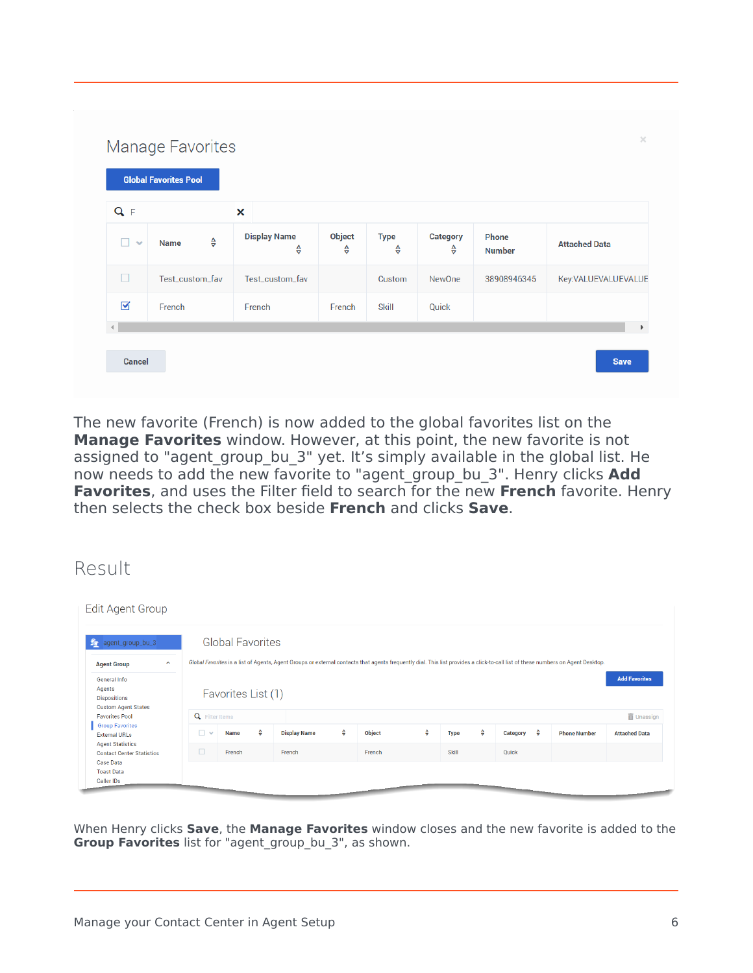| Q <sub>F</sub>  |                                        | ×                        |                    |                  |               |                        |                      |
|-----------------|----------------------------------------|--------------------------|--------------------|------------------|---------------|------------------------|----------------------|
| п<br>$\sim$     | $\frac{\Delta}{\nabla}$<br><b>Name</b> | <b>Display Name</b><br>⇔ | <b>Object</b><br>⇔ | <b>Type</b><br>⇔ | Category<br>⇔ | Phone<br><b>Number</b> | <b>Attached Data</b> |
| $\Box$          | Test_custom_fav                        | Test_custom_fav          |                    | Custom           | <b>NewOne</b> | 38908946345            | Key:VALUEVALUEVALUE  |
| $\triangledown$ | French                                 | French                   | French             | <b>Skill</b>     | Quick         |                        |                      |

The new favorite (French) is now added to the global favorites list on the **Manage Favorites** window. However, at this point, the new favorite is not assigned to "agent\_group\_bu\_3" yet. It's simply available in the global list. He now needs to add the new favorite to "agent\_group\_bu\_3". Henry clicks **Add Favorites**, and uses the Filter field to search for the new **French** favorite. Henry then selects the check box beside **French** and clicks **Save**.

## <span id="page-5-0"></span>Result

| <b>Edit Agent Group</b>                                                         |               |                         |                    |                                                                                                                                                                                 |   |               |   |              |   |                        |                     |                                           |
|---------------------------------------------------------------------------------|---------------|-------------------------|--------------------|---------------------------------------------------------------------------------------------------------------------------------------------------------------------------------|---|---------------|---|--------------|---|------------------------|---------------------|-------------------------------------------|
| $\mathcal{L}$<br>agent_group_bu_3                                               |               | <b>Global Favorites</b> |                    |                                                                                                                                                                                 |   |               |   |              |   |                        |                     |                                           |
| $\hat{\phantom{a}}$<br><b>Agent Group</b>                                       |               |                         |                    | Global Favorites is a list of Agents, Agent Groups or external contacts that agents frequently dial. This list provides a click-to-call list of these numbers on Agent Desktop. |   |               |   |              |   |                        |                     |                                           |
| General Info<br>Agents<br><b>Dispositions</b><br><b>Custom Agent States</b>     |               | Favorites List (1)      |                    |                                                                                                                                                                                 |   |               |   |              |   |                        |                     | <b>Add Favorites</b><br><b>而</b> Unassign |
| <b>Q</b> Filter Items<br><b>Favorites Pool</b><br><b>Group Favorites</b>        |               |                         |                    |                                                                                                                                                                                 |   |               |   |              |   |                        |                     |                                           |
| <b>External URLs</b>                                                            | $\Box$ $\vee$ | <b>Name</b>             | $\hat{\mathbf{e}}$ | <b>Display Name</b>                                                                                                                                                             | ♦ | <b>Object</b> | ♦ | <b>Type</b>  | ♦ | Category $\frac{A}{V}$ | <b>Phone Number</b> | <b>Attached Data</b>                      |
| <b>Agent Statistics</b><br><b>Contact Center Statistics</b><br><b>Case Data</b> | $\Box$        | French                  |                    | French                                                                                                                                                                          |   | French        |   | <b>Skill</b> |   | Quick                  |                     |                                           |
| <b>Toast Data</b><br>Caller IDs                                                 |               |                         |                    |                                                                                                                                                                                 |   |               |   |              |   |                        |                     |                                           |

When Henry clicks **Save**, the **Manage Favorites** window closes and the new favorite is added to the **Group Favorites** list for "agent group bu 3", as shown.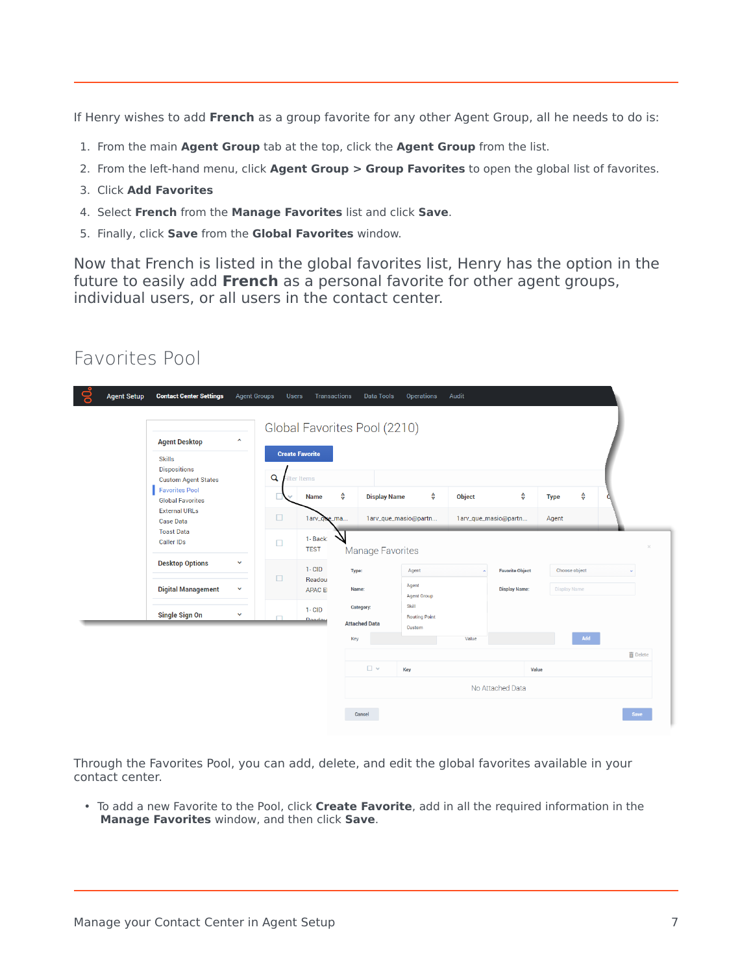If Henry wishes to add **French** as a group favorite for any other Agent Group, all he needs to do is:

- 1. From the main **Agent Group** tab at the top, click the **Agent Group** from the list.
- 2. From the left-hand menu, click **Agent Group > Group Favorites** to open the global list of favorites.
- 3. Click **Add Favorites**
- 4. Select **French** from the **Manage Favorites** list and click **Save**.
- 5. Finally, click **Save** from the **Global Favorites** window.

Now that French is listed in the global favorites list, Henry has the option in the future to easily add **French** as a personal favorite for other agent groups, individual users, or all users in the contact center.

#### <span id="page-6-0"></span>Favorites Pool

|  | <b>Agent Desktop</b>                                                                                                                                                                                                                                                                     | ٨ |              |                                      |             | Global Favorites Pool (2210)      |                               |                                                              |                        |                     |             |                 |  |  |  |
|--|------------------------------------------------------------------------------------------------------------------------------------------------------------------------------------------------------------------------------------------------------------------------------------------|---|--------------|--------------------------------------|-------------|-----------------------------------|-------------------------------|--------------------------------------------------------------|------------------------|---------------------|-------------|-----------------|--|--|--|
|  | <b>Skills</b><br><b>Dispositions</b><br><b>Custom Agent States</b><br><b>Favorites Pool</b><br><b>Global Favorites</b><br><b>External URLs</b><br><b>Case Data</b><br><b>Toast Data</b><br><b>Caller IDs</b><br><b>Desktop Options</b><br>$\checkmark$<br><b>Digital Management</b><br>v |   | $\mathbf{Q}$ | <b>Create Favorite</b><br>Iter Items |             |                                   |                               |                                                              |                        |                     |             |                 |  |  |  |
|  |                                                                                                                                                                                                                                                                                          |   |              |                                      | <b>Name</b> | ♦                                 | <b>Display Name</b>           | ♦                                                            | <b>Object</b>          | ♦                   | <b>Type</b> | ♦               |  |  |  |
|  |                                                                                                                                                                                                                                                                                          |   | $\Box$       | 1arv_que_ma                          |             |                                   | 1arv_que_masio@partn          |                                                              | 1arv_que_masio@partn   | Agent               |             |                 |  |  |  |
|  |                                                                                                                                                                                                                                                                                          |   |              |                                      |             |                                   |                               | 1- Back:<br>$\Box$<br><b>TEST</b><br><b>Manage Favorites</b> |                        |                     |             |                 |  |  |  |
|  |                                                                                                                                                                                                                                                                                          |   |              | $1 - CID$                            | Type:       |                                   | Agent                         | $\tilde{\phantom{a}}$                                        | <b>Favorite Object</b> | Choose object       |             | $\mathbf{v}$    |  |  |  |
|  |                                                                                                                                                                                                                                                                                          |   | □            | Readou<br><b>APAC EI</b>             | Name:       |                                   | Agent<br><b>Agent Group</b>   |                                                              | <b>Display Name:</b>   | <b>Display Name</b> |             |                 |  |  |  |
|  | <b>Single Sign On</b>                                                                                                                                                                                                                                                                    | v | m.           | $1 - CID$<br><b>Deaday</b>           |             | Category:<br><b>Attached Data</b> | Skill<br><b>Routing Point</b> |                                                              |                        |                     |             |                 |  |  |  |
|  |                                                                                                                                                                                                                                                                                          |   |              |                                      | Key         |                                   | Custom                        | Value                                                        |                        |                     | Add         |                 |  |  |  |
|  |                                                                                                                                                                                                                                                                                          |   |              |                                      |             |                                   |                               |                                                              |                        |                     |             | <b>面</b> Delete |  |  |  |
|  |                                                                                                                                                                                                                                                                                          |   |              |                                      |             | $\square$                         | Key                           |                                                              | Value                  |                     |             |                 |  |  |  |

Through the Favorites Pool, you can add, delete, and edit the global favorites available in your contact center.

• To add a new Favorite to the Pool, click **Create Favorite**, add in all the required information in the **Manage Favorites** window, and then click **Save**.